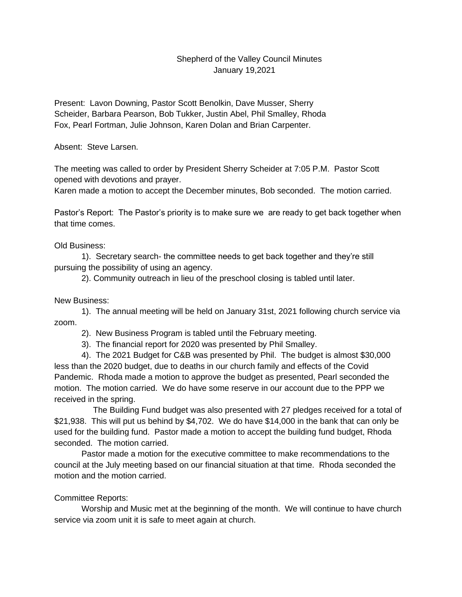## Shepherd of the Valley Council Minutes January 19,2021

Present: Lavon Downing, Pastor Scott Benolkin, Dave Musser, Sherry Scheider, Barbara Pearson, Bob Tukker, Justin Abel, Phil Smalley, Rhoda Fox, Pearl Fortman, Julie Johnson, Karen Dolan and Brian Carpenter.

Absent: Steve Larsen.

The meeting was called to order by President Sherry Scheider at 7:05 P.M. Pastor Scott opened with devotions and prayer.

Karen made a motion to accept the December minutes, Bob seconded. The motion carried.

Pastor's Report: The Pastor's priority is to make sure we are ready to get back together when that time comes.

## Old Business:

1). Secretary search- the committee needs to get back together and they're still pursuing the possibility of using an agency.

2). Community outreach in lieu of the preschool closing is tabled until later.

## New Business:

1). The annual meeting will be held on January 31st, 2021 following church service via zoom.

2). New Business Program is tabled until the February meeting.

3). The financial report for 2020 was presented by Phil Smalley.

4). The 2021 Budget for C&B was presented by Phil. The budget is almost \$30,000 less than the 2020 budget, due to deaths in our church family and effects of the Covid Pandemic. Rhoda made a motion to approve the budget as presented, Pearl seconded the motion. The motion carried. We do have some reserve in our account due to the PPP we received in the spring.

 The Building Fund budget was also presented with 27 pledges received for a total of \$21,938. This will put us behind by \$4,702. We do have \$14,000 in the bank that can only be used for the building fund. Pastor made a motion to accept the building fund budget, Rhoda seconded. The motion carried.

Pastor made a motion for the executive committee to make recommendations to the council at the July meeting based on our financial situation at that time. Rhoda seconded the motion and the motion carried.

## Committee Reports:

Worship and Music met at the beginning of the month. We will continue to have church service via zoom unit it is safe to meet again at church.